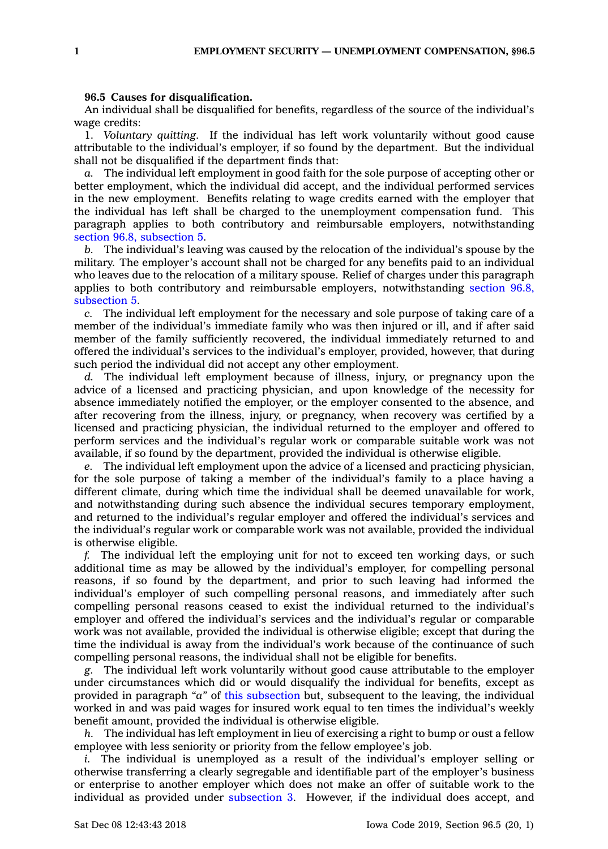## **96.5 Causes for disqualification.**

An individual shall be disqualified for benefits, regardless of the source of the individual's wage credits:

1. *Voluntary quitting.* If the individual has left work voluntarily without good cause attributable to the individual's employer, if so found by the department. But the individual shall not be disqualified if the department finds that:

*a.* The individual left employment in good faith for the sole purpose of accepting other or better employment, which the individual did accept, and the individual performed services in the new employment. Benefits relating to wage credits earned with the employer that the individual has left shall be charged to the unemployment compensation fund. This paragraph applies to both contributory and reimbursable employers, notwithstanding section 96.8, [subsection](https://www.legis.iowa.gov/docs/code/96.8.pdf) 5.

*b.* The individual's leaving was caused by the relocation of the individual's spouse by the military. The employer's account shall not be charged for any benefits paid to an individual who leaves due to the relocation of <sup>a</sup> military spouse. Relief of charges under this paragraph applies to both contributory and reimbursable employers, notwithstanding [section](https://www.legis.iowa.gov/docs/code/96.8.pdf) 96.8, [subsection](https://www.legis.iowa.gov/docs/code/96.8.pdf) 5.

*c.* The individual left employment for the necessary and sole purpose of taking care of <sup>a</sup> member of the individual's immediate family who was then injured or ill, and if after said member of the family sufficiently recovered, the individual immediately returned to and offered the individual's services to the individual's employer, provided, however, that during such period the individual did not accept any other employment.

*d.* The individual left employment because of illness, injury, or pregnancy upon the advice of <sup>a</sup> licensed and practicing physician, and upon knowledge of the necessity for absence immediately notified the employer, or the employer consented to the absence, and after recovering from the illness, injury, or pregnancy, when recovery was certified by <sup>a</sup> licensed and practicing physician, the individual returned to the employer and offered to perform services and the individual's regular work or comparable suitable work was not available, if so found by the department, provided the individual is otherwise eligible.

*e.* The individual left employment upon the advice of <sup>a</sup> licensed and practicing physician, for the sole purpose of taking <sup>a</sup> member of the individual's family to <sup>a</sup> place having <sup>a</sup> different climate, during which time the individual shall be deemed unavailable for work, and notwithstanding during such absence the individual secures temporary employment, and returned to the individual's regular employer and offered the individual's services and the individual's regular work or comparable work was not available, provided the individual is otherwise eligible.

*f.* The individual left the employing unit for not to exceed ten working days, or such additional time as may be allowed by the individual's employer, for compelling personal reasons, if so found by the department, and prior to such leaving had informed the individual's employer of such compelling personal reasons, and immediately after such compelling personal reasons ceased to exist the individual returned to the individual's employer and offered the individual's services and the individual's regular or comparable work was not available, provided the individual is otherwise eligible; except that during the time the individual is away from the individual's work because of the continuance of such compelling personal reasons, the individual shall not be eligible for benefits.

*g.* The individual left work voluntarily without good cause attributable to the employer under circumstances which did or would disqualify the individual for benefits, except as provided in paragraph *"a"* of this [subsection](https://www.legis.iowa.gov/docs/code/96.5.pdf) but, subsequent to the leaving, the individual worked in and was paid wages for insured work equal to ten times the individual's weekly benefit amount, provided the individual is otherwise eligible.

*h.* The individual has left employment in lieu of exercising <sup>a</sup> right to bump or oust <sup>a</sup> fellow employee with less seniority or priority from the fellow employee's job.

*i.* The individual is unemployed as <sup>a</sup> result of the individual's employer selling or otherwise transferring <sup>a</sup> clearly segregable and identifiable part of the employer's business or enterprise to another employer which does not make an offer of suitable work to the individual as provided under [subsection](https://www.legis.iowa.gov/docs/code/96.5.pdf) 3. However, if the individual does accept, and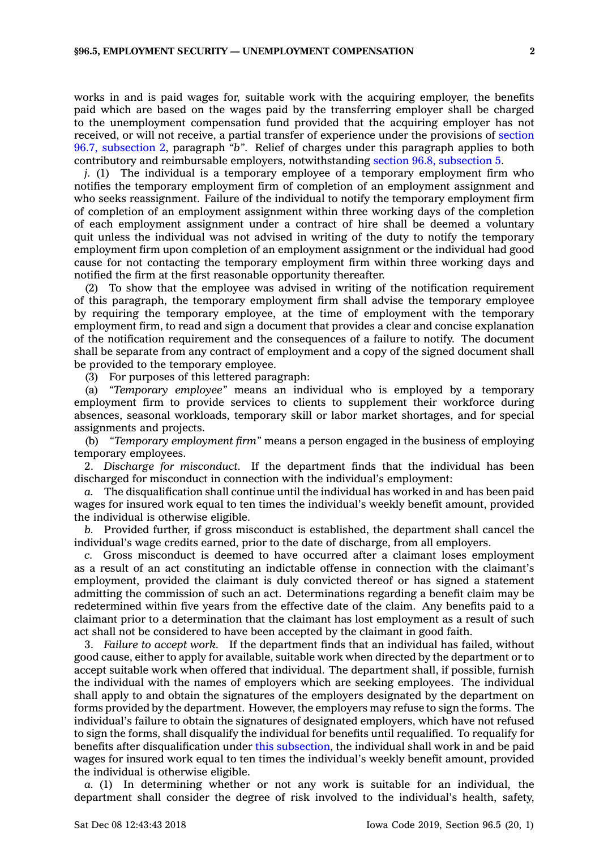works in and is paid wages for, suitable work with the acquiring employer, the benefits paid which are based on the wages paid by the transferring employer shall be charged to the unemployment compensation fund provided that the acquiring employer has not received, or will not receive, <sup>a</sup> partial transfer of experience under the provisions of [section](https://www.legis.iowa.gov/docs/code/96.7.pdf) 96.7, [subsection](https://www.legis.iowa.gov/docs/code/96.7.pdf) 2, paragraph *"b"*. Relief of charges under this paragraph applies to both contributory and reimbursable employers, notwithstanding section 96.8, [subsection](https://www.legis.iowa.gov/docs/code/96.8.pdf) 5.

*j.* (1) The individual is a temporary employee of a temporary employment firm who notifies the temporary employment firm of completion of an employment assignment and who seeks reassignment. Failure of the individual to notify the temporary employment firm of completion of an employment assignment within three working days of the completion of each employment assignment under <sup>a</sup> contract of hire shall be deemed <sup>a</sup> voluntary quit unless the individual was not advised in writing of the duty to notify the temporary employment firm upon completion of an employment assignment or the individual had good cause for not contacting the temporary employment firm within three working days and notified the firm at the first reasonable opportunity thereafter.

(2) To show that the employee was advised in writing of the notification requirement of this paragraph, the temporary employment firm shall advise the temporary employee by requiring the temporary employee, at the time of employment with the temporary employment firm, to read and sign <sup>a</sup> document that provides <sup>a</sup> clear and concise explanation of the notification requirement and the consequences of <sup>a</sup> failure to notify. The document shall be separate from any contract of employment and <sup>a</sup> copy of the signed document shall be provided to the temporary employee.

(3) For purposes of this lettered paragraph:

(a) *"Temporary employee"* means an individual who is employed by <sup>a</sup> temporary employment firm to provide services to clients to supplement their workforce during absences, seasonal workloads, temporary skill or labor market shortages, and for special assignments and projects.

(b) *"Temporary employment firm"* means <sup>a</sup> person engaged in the business of employing temporary employees.

2. *Discharge for misconduct.* If the department finds that the individual has been discharged for misconduct in connection with the individual's employment:

*a.* The disqualification shall continue until the individual has worked in and has been paid wages for insured work equal to ten times the individual's weekly benefit amount, provided the individual is otherwise eligible.

*b.* Provided further, if gross misconduct is established, the department shall cancel the individual's wage credits earned, prior to the date of discharge, from all employers.

*c.* Gross misconduct is deemed to have occurred after <sup>a</sup> claimant loses employment as <sup>a</sup> result of an act constituting an indictable offense in connection with the claimant's employment, provided the claimant is duly convicted thereof or has signed <sup>a</sup> statement admitting the commission of such an act. Determinations regarding <sup>a</sup> benefit claim may be redetermined within five years from the effective date of the claim. Any benefits paid to <sup>a</sup> claimant prior to <sup>a</sup> determination that the claimant has lost employment as <sup>a</sup> result of such act shall not be considered to have been accepted by the claimant in good faith.

3. *Failure to accept work.* If the department finds that an individual has failed, without good cause, either to apply for available, suitable work when directed by the department or to accept suitable work when offered that individual. The department shall, if possible, furnish the individual with the names of employers which are seeking employees. The individual shall apply to and obtain the signatures of the employers designated by the department on forms provided by the department. However, the employers may refuse to sign the forms. The individual's failure to obtain the signatures of designated employers, which have not refused to sign the forms, shall disqualify the individual for benefits until requalified. To requalify for benefits after disqualification under this [subsection](https://www.legis.iowa.gov/docs/code/96.5.pdf), the individual shall work in and be paid wages for insured work equal to ten times the individual's weekly benefit amount, provided the individual is otherwise eligible.

*a.* (1) In determining whether or not any work is suitable for an individual, the department shall consider the degree of risk involved to the individual's health, safety,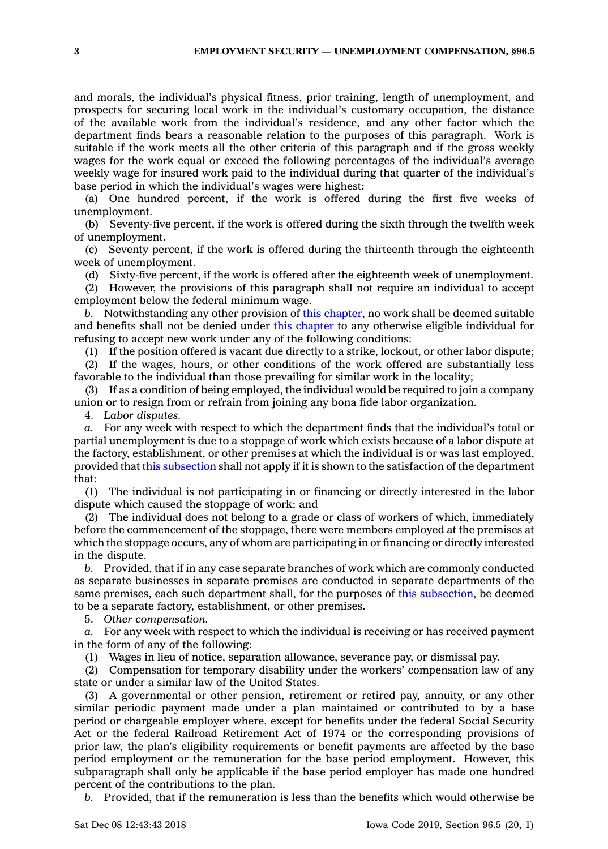and morals, the individual's physical fitness, prior training, length of unemployment, and prospects for securing local work in the individual's customary occupation, the distance of the available work from the individual's residence, and any other factor which the department finds bears <sup>a</sup> reasonable relation to the purposes of this paragraph. Work is suitable if the work meets all the other criteria of this paragraph and if the gross weekly wages for the work equal or exceed the following percentages of the individual's average weekly wage for insured work paid to the individual during that quarter of the individual's base period in which the individual's wages were highest:

(a) One hundred percent, if the work is offered during the first five weeks of unemployment.

(b) Seventy-five percent, if the work is offered during the sixth through the twelfth week of unemployment.

(c) Seventy percent, if the work is offered during the thirteenth through the eighteenth week of unemployment.

(d) Sixty-five percent, if the work is offered after the eighteenth week of unemployment.

(2) However, the provisions of this paragraph shall not require an individual to accept employment below the federal minimum wage.

*b.* Notwithstanding any other provision of this [chapter](https://www.legis.iowa.gov/docs/code//96.pdf), no work shall be deemed suitable and benefits shall not be denied under this [chapter](https://www.legis.iowa.gov/docs/code//96.pdf) to any otherwise eligible individual for refusing to accept new work under any of the following conditions:

(1) If the position offered is vacant due directly to <sup>a</sup> strike, lockout, or other labor dispute;

(2) If the wages, hours, or other conditions of the work offered are substantially less favorable to the individual than those prevailing for similar work in the locality;

(3) If as <sup>a</sup> condition of being employed, the individual would be required to join <sup>a</sup> company union or to resign from or refrain from joining any bona fide labor organization.

4. *Labor disputes.*

*a.* For any week with respect to which the department finds that the individual's total or partial unemployment is due to <sup>a</sup> stoppage of work which exists because of <sup>a</sup> labor dispute at the factory, establishment, or other premises at which the individual is or was last employed, provided that this [subsection](https://www.legis.iowa.gov/docs/code/96.5.pdf) shall not apply if it is shown to the satisfaction of the department that:

(1) The individual is not participating in or financing or directly interested in the labor dispute which caused the stoppage of work; and

(2) The individual does not belong to <sup>a</sup> grade or class of workers of which, immediately before the commencement of the stoppage, there were members employed at the premises at which the stoppage occurs, any of whom are participating in or financing or directly interested in the dispute.

*b.* Provided, that if in any case separate branches of work which are commonly conducted as separate businesses in separate premises are conducted in separate departments of the same premises, each such department shall, for the purposes of this [subsection](https://www.legis.iowa.gov/docs/code/96.5.pdf), be deemed to be <sup>a</sup> separate factory, establishment, or other premises.

5. *Other compensation.*

*a.* For any week with respect to which the individual is receiving or has received payment in the form of any of the following:

(1) Wages in lieu of notice, separation allowance, severance pay, or dismissal pay.

(2) Compensation for temporary disability under the workers' compensation law of any state or under <sup>a</sup> similar law of the United States.

(3) A governmental or other pension, retirement or retired pay, annuity, or any other similar periodic payment made under <sup>a</sup> plan maintained or contributed to by <sup>a</sup> base period or chargeable employer where, except for benefits under the federal Social Security Act or the federal Railroad Retirement Act of 1974 or the corresponding provisions of prior law, the plan's eligibility requirements or benefit payments are affected by the base period employment or the remuneration for the base period employment. However, this subparagraph shall only be applicable if the base period employer has made one hundred percent of the contributions to the plan.

*b.* Provided, that if the remuneration is less than the benefits which would otherwise be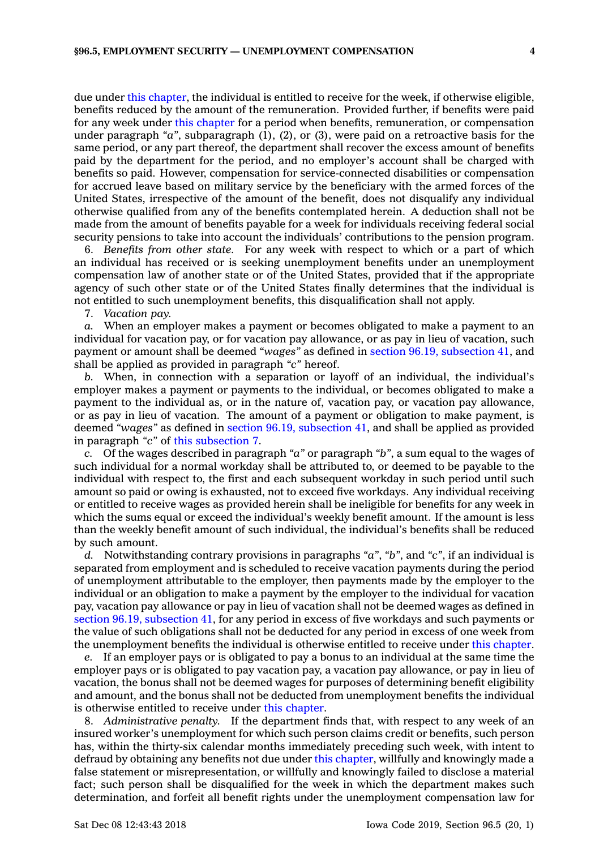due under this [chapter](https://www.legis.iowa.gov/docs/code//96.pdf), the individual is entitled to receive for the week, if otherwise eligible, benefits reduced by the amount of the remuneration. Provided further, if benefits were paid for any week under this [chapter](https://www.legis.iowa.gov/docs/code//96.pdf) for <sup>a</sup> period when benefits, remuneration, or compensation under paragraph *"a"*, subparagraph (1), (2), or (3), were paid on <sup>a</sup> retroactive basis for the same period, or any part thereof, the department shall recover the excess amount of benefits paid by the department for the period, and no employer's account shall be charged with benefits so paid. However, compensation for service-connected disabilities or compensation for accrued leave based on military service by the beneficiary with the armed forces of the United States, irrespective of the amount of the benefit, does not disqualify any individual otherwise qualified from any of the benefits contemplated herein. A deduction shall not be made from the amount of benefits payable for <sup>a</sup> week for individuals receiving federal social security pensions to take into account the individuals' contributions to the pension program.

6. *Benefits from other state.* For any week with respect to which or <sup>a</sup> part of which an individual has received or is seeking unemployment benefits under an unemployment compensation law of another state or of the United States, provided that if the appropriate agency of such other state or of the United States finally determines that the individual is not entitled to such unemployment benefits, this disqualification shall not apply.

7. *Vacation pay.*

*a.* When an employer makes <sup>a</sup> payment or becomes obligated to make <sup>a</sup> payment to an individual for vacation pay, or for vacation pay allowance, or as pay in lieu of vacation, such payment or amount shall be deemed *"wages"* as defined in section 96.19, [subsection](https://www.legis.iowa.gov/docs/code/96.19.pdf) 41, and shall be applied as provided in paragraph *"c"* hereof.

*b.* When, in connection with <sup>a</sup> separation or layoff of an individual, the individual's employer makes <sup>a</sup> payment or payments to the individual, or becomes obligated to make <sup>a</sup> payment to the individual as, or in the nature of, vacation pay, or vacation pay allowance, or as pay in lieu of vacation. The amount of <sup>a</sup> payment or obligation to make payment, is deemed *"wages"* as defined in section 96.19, [subsection](https://www.legis.iowa.gov/docs/code/96.19.pdf) 41, and shall be applied as provided in paragraph *"c"* of this [subsection](https://www.legis.iowa.gov/docs/code/96.5.pdf) 7.

*c.* Of the wages described in paragraph *"a"* or paragraph *"b"*, <sup>a</sup> sum equal to the wages of such individual for <sup>a</sup> normal workday shall be attributed to, or deemed to be payable to the individual with respect to, the first and each subsequent workday in such period until such amount so paid or owing is exhausted, not to exceed five workdays. Any individual receiving or entitled to receive wages as provided herein shall be ineligible for benefits for any week in which the sums equal or exceed the individual's weekly benefit amount. If the amount is less than the weekly benefit amount of such individual, the individual's benefits shall be reduced by such amount.

*d.* Notwithstanding contrary provisions in paragraphs *"a"*, *"b"*, and *"c"*, if an individual is separated from employment and is scheduled to receive vacation payments during the period of unemployment attributable to the employer, then payments made by the employer to the individual or an obligation to make <sup>a</sup> payment by the employer to the individual for vacation pay, vacation pay allowance or pay in lieu of vacation shall not be deemed wages as defined in section 96.19, [subsection](https://www.legis.iowa.gov/docs/code/96.19.pdf) 41, for any period in excess of five workdays and such payments or the value of such obligations shall not be deducted for any period in excess of one week from the unemployment benefits the individual is otherwise entitled to receive under this [chapter](https://www.legis.iowa.gov/docs/code//96.pdf).

*e.* If an employer pays or is obligated to pay <sup>a</sup> bonus to an individual at the same time the employer pays or is obligated to pay vacation pay, <sup>a</sup> vacation pay allowance, or pay in lieu of vacation, the bonus shall not be deemed wages for purposes of determining benefit eligibility and amount, and the bonus shall not be deducted from unemployment benefits the individual is otherwise entitled to receive under this [chapter](https://www.legis.iowa.gov/docs/code//96.pdf).

8. *Administrative penalty.* If the department finds that, with respect to any week of an insured worker's unemployment for which such person claims credit or benefits, such person has, within the thirty-six calendar months immediately preceding such week, with intent to defraud by obtaining any benefits not due under this [chapter](https://www.legis.iowa.gov/docs/code//96.pdf), willfully and knowingly made <sup>a</sup> false statement or misrepresentation, or willfully and knowingly failed to disclose <sup>a</sup> material fact; such person shall be disqualified for the week in which the department makes such determination, and forfeit all benefit rights under the unemployment compensation law for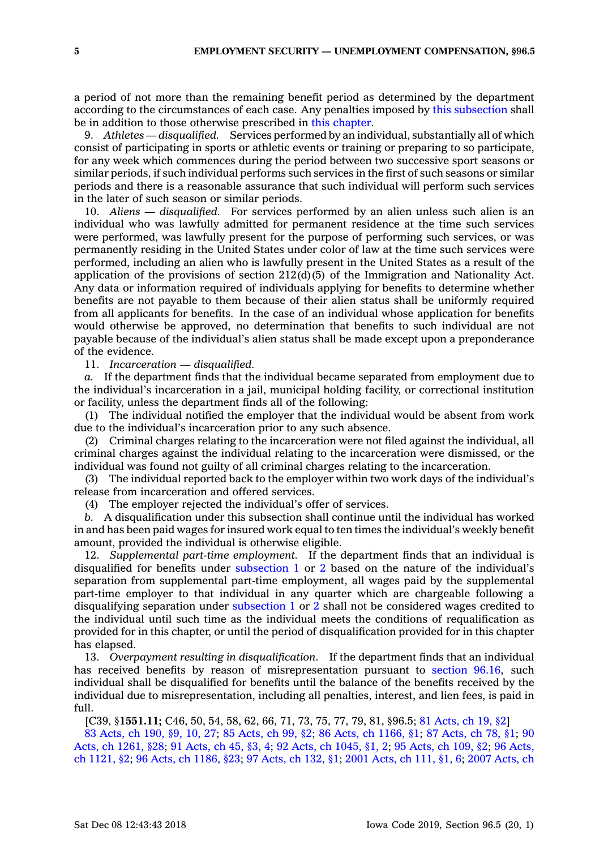<sup>a</sup> period of not more than the remaining benefit period as determined by the department according to the circumstances of each case. Any penalties imposed by this [subsection](https://www.legis.iowa.gov/docs/code/96.5.pdf) shall be in addition to those otherwise prescribed in this [chapter](https://www.legis.iowa.gov/docs/code//96.pdf).

9. *Athletes — disqualified.* Services performed by an individual, substantially all of which consist of participating in sports or athletic events or training or preparing to so participate, for any week which commences during the period between two successive sport seasons or similar periods, if such individual performs such services in the first of such seasons or similar periods and there is <sup>a</sup> reasonable assurance that such individual will perform such services in the later of such season or similar periods.

10. *Aliens — disqualified.* For services performed by an alien unless such alien is an individual who was lawfully admitted for permanent residence at the time such services were performed, was lawfully present for the purpose of performing such services, or was permanently residing in the United States under color of law at the time such services were performed, including an alien who is lawfully present in the United States as <sup>a</sup> result of the application of the provisions of section  $212(d)(5)$  of the Immigration and Nationality Act. Any data or information required of individuals applying for benefits to determine whether benefits are not payable to them because of their alien status shall be uniformly required from all applicants for benefits. In the case of an individual whose application for benefits would otherwise be approved, no determination that benefits to such individual are not payable because of the individual's alien status shall be made except upon <sup>a</sup> preponderance of the evidence.

11. *Incarceration — disqualified.*

*a.* If the department finds that the individual became separated from employment due to the individual's incarceration in <sup>a</sup> jail, municipal holding facility, or correctional institution or facility, unless the department finds all of the following:

(1) The individual notified the employer that the individual would be absent from work due to the individual's incarceration prior to any such absence.

(2) Criminal charges relating to the incarceration were not filed against the individual, all criminal charges against the individual relating to the incarceration were dismissed, or the individual was found not guilty of all criminal charges relating to the incarceration.

(3) The individual reported back to the employer within two work days of the individual's release from incarceration and offered services.

(4) The employer rejected the individual's offer of services.

*b.* A disqualification under this subsection shall continue until the individual has worked in and has been paid wages for insured work equal to ten times the individual's weekly benefit amount, provided the individual is otherwise eligible.

12. *Supplemental part-time employment.* If the department finds that an individual is disqualified for benefits under [subsection](https://www.legis.iowa.gov/docs/code/96.5.pdf) 1 or [2](https://www.legis.iowa.gov/docs/code/96.5.pdf) based on the nature of the individual's separation from supplemental part-time employment, all wages paid by the supplemental part-time employer to that individual in any quarter which are chargeable following <sup>a</sup> disqualifying separation under [subsection](https://www.legis.iowa.gov/docs/code/96.5.pdf) 1 or [2](https://www.legis.iowa.gov/docs/code/96.5.pdf) shall not be considered wages credited to the individual until such time as the individual meets the conditions of requalification as provided for in this chapter, or until the period of disqualification provided for in this chapter has elapsed.

13. *Overpayment resulting in disqualification.* If the department finds that an individual has received benefits by reason of misrepresentation pursuant to [section](https://www.legis.iowa.gov/docs/code/96.16.pdf) 96.16, such individual shall be disqualified for benefits until the balance of the benefits received by the individual due to misrepresentation, including all penalties, interest, and lien fees, is paid in full.

[C39, §**1551.11;** C46, 50, 54, 58, 62, 66, 71, 73, 75, 77, 79, 81, §96.5; 81 [Acts,](https://www.legis.iowa.gov/docs/acts/1981/CH0019.pdf) ch 19, §2] 83 [Acts,](https://www.legis.iowa.gov/docs/acts/83/CH0190.pdf) ch 190, §9, 10, 27; 85 [Acts,](https://www.legis.iowa.gov/docs/acts/85/CH0099.pdf) ch 99, §2; 86 Acts, ch [1166,](https://www.legis.iowa.gov/docs/acts/86/CH1166.pdf) §1; 87 [Acts,](https://www.legis.iowa.gov/docs/acts/87/CH0078.pdf) ch 78, §1; [90](https://www.legis.iowa.gov/docs/acts/90/CH1261.pdf) Acts, ch [1261,](https://www.legis.iowa.gov/docs/acts/90/CH1261.pdf) §28; 91 [Acts,](https://www.legis.iowa.gov/docs/acts/91/CH0045.pdf) ch 45, §3, 4; 92 Acts, ch [1045,](https://www.legis.iowa.gov/docs/acts/92/CH1045.pdf) §1, 2; 95 [Acts,](https://www.legis.iowa.gov/docs/acts/95/CH0109.pdf) ch 109, §2; 96 [Acts,](https://www.legis.iowa.gov/docs/acts//CH0000.pdf) ch [1121,](https://www.legis.iowa.gov/docs/acts//CH0000.pdf) §2; 96 Acts, ch [1186,](https://www.legis.iowa.gov/docs/acts/96/CH1186.pdf) §23; 97 [Acts,](https://www.legis.iowa.gov/docs/acts/97/CH0132.pdf) ch 132, §1; 2001 [Acts,](https://www.legis.iowa.gov/docs/acts/2001/CH0111.pdf) ch 111, §1, 6; 2007 [Acts,](https://www.legis.iowa.gov/docs/acts/2007/CH0022.pdf) ch